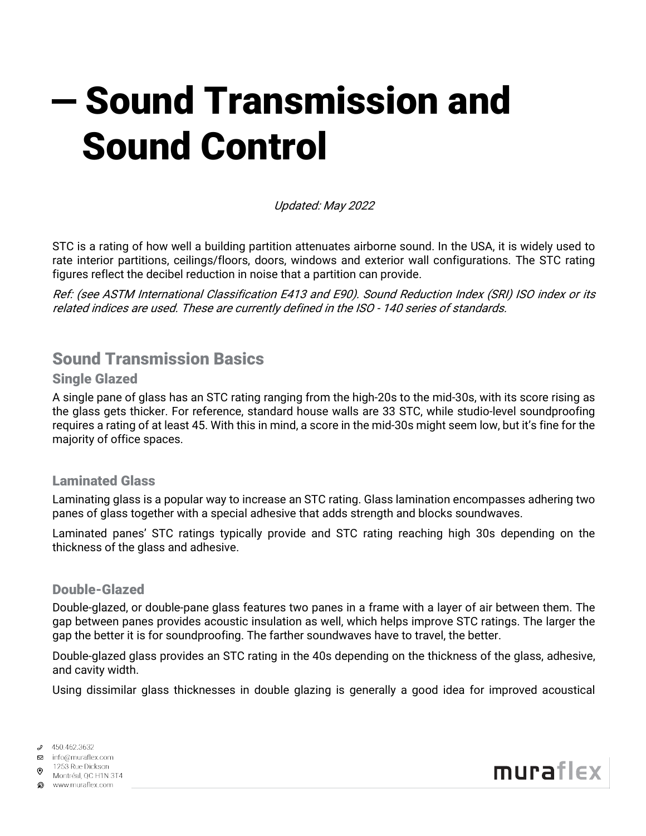# $-$  Sound Transmission and Sound Control

Updated: May 2022

STC is a rating of how well a building partition attenuates airborne sound. In the USA, it is widely used to rate interior partitions, ceilings/floors, doors, windows and exterior wall configurations. The STC rating figures reflect the decibel reduction in noise that a partition can provide.

Ref: (see ASTM International Classification E413 and E90). Sound Reduction Index (SRI) ISO index or its related indices are used. These are currently defined in the ISO ‐ 140 series of standards.

## Sound Transmission Basics

#### Single Glazed

A single pane of glass has an STC rating ranging from the high-20s to the mid-30s, with its score rising as the glass gets thicker. For reference, standard house walls are 33 STC, while studio-level soundproofing requires a rating of at least 45. With this in mind, a score in the mid-30s might seem low, but it's fine for the majority of office spaces.

#### Laminated Glass

Laminating glass is a popular way to increase an STC rating. Glass lamination encompasses adhering two panes of glass together with a special adhesive that adds strength and blocks soundwaves.

Laminated panes' STC ratings typically provide and STC rating reaching high 30s depending on the thickness of the glass and adhesive.

#### Double-Glazed

Double-glazed, or double-pane glass features two panes in a frame with a layer of air between them. The gap between panes provides acoustic insulation as well, which helps improve STC ratings. The larger the gap the better it is for soundproofing. The farther soundwaves have to travel, the better.

Double-glazed glass provides an STC rating in the 40s depending on the thickness of the glass, adhesive, and cavity width.

Using dissimilar glass thicknesses in double glazing is generally a good idea for improved acoustical

450.462.3632



Montréal, QC H1N 3T4 www.muraflex.com

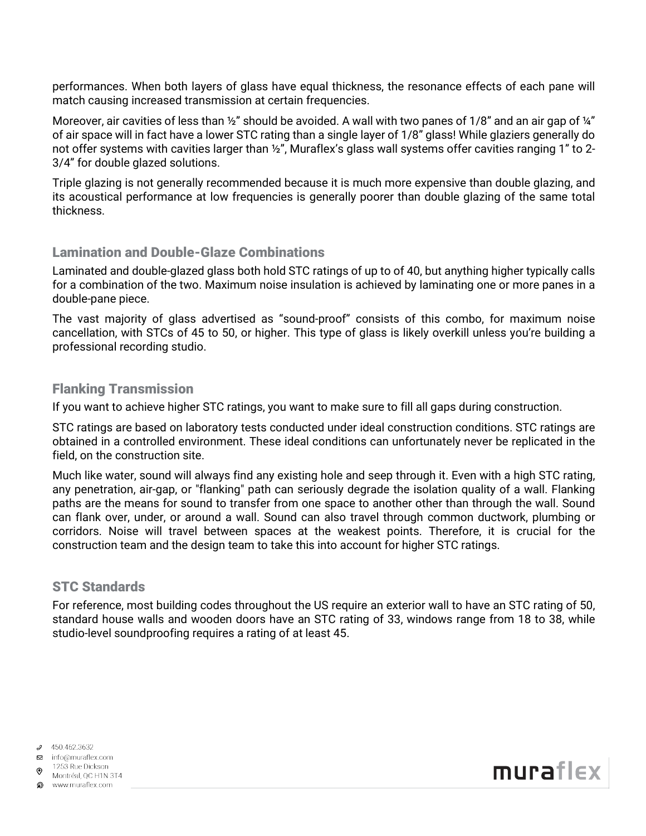performances. When both layers of glass have equal thickness, the resonance effects of each pane will match causing increased transmission at certain frequencies.

Moreover, air cavities of less than ½" should be avoided. A wall with two panes of 1/8" and an air gap of ¼" of air space will in fact have a lower STC rating than a single layer of 1/8" glass! While glaziers generally do not offer systems with cavities larger than ½", Muraflex's glass wall systems offer cavities ranging 1" to 2- 3/4" for double glazed solutions.

Triple glazing is not generally recommended because it is much more expensive than double glazing, and its acoustical performance at low frequencies is generally poorer than double glazing of the same total thickness.

#### Lamination and Double-Glaze Combinations

Laminated and double-glazed glass both hold STC ratings of up to of 40, but anything higher typically calls for a combination of the two. Maximum noise insulation is achieved by laminating one or more panes in a double-pane piece.

The vast majority of glass advertised as "sound-proof" consists of this combo, for maximum noise cancellation, with STCs of 45 to 50, or higher. This type of glass is likely overkill unless you're building a professional recording studio.

#### Flanking Transmission

If you want to achieve higher STC ratings, you want to make sure to fill all gaps during construction.

STC ratings are based on laboratory tests conducted under ideal construction conditions. STC ratings are obtained in a controlled environment. These ideal conditions can unfortunately never be replicated in the field, on the construction site.

Much like water, sound will always find any existing hole and seep through it. Even with a high STC rating, any penetration, air-gap, or "flanking" path can seriously degrade the isolation quality of a wall. Flanking paths are the means for sound to transfer from one space to another other than through the wall. Sound can flank over, under, or around a wall. Sound can also travel through common ductwork, plumbing or corridors. Noise will travel between spaces at the weakest points. Therefore, it is crucial for the construction team and the design team to take this into account for higher STC ratings.

## STC Standards

For reference, most building codes throughout the US require an exterior wall to have an STC rating of 50, standard house walls and wooden doors have an STC rating of 33, windows range from 18 to 38, while studio-level soundproofing requires a rating of at least 45.

 $9450.462.3632$ 

□ info@muraflex.com

1253 Rue Dickson Montréal, QC H1N 3T4

ை www.muraflex.com

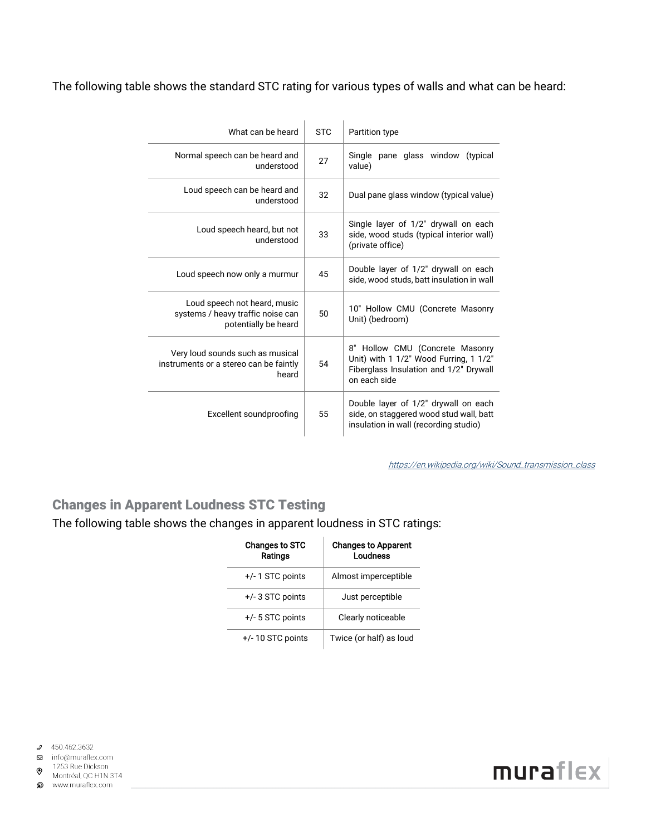#### The following table shows the standard STC rating for various types of walls and what can be heard:

| What can be heard                                                                         | <b>STC</b> | Partition type                                                                                                                      |
|-------------------------------------------------------------------------------------------|------------|-------------------------------------------------------------------------------------------------------------------------------------|
| Normal speech can be heard and<br>understood                                              | 27         | Single<br>pane glass window<br>(typical)<br>value)                                                                                  |
| Loud speech can be heard and<br>understood                                                | 32         | Dual pane glass window (typical value)                                                                                              |
| Loud speech heard, but not<br>understood                                                  | 33         | Single layer of 1/2" drywall on each<br>side, wood studs (typical interior wall)<br>(private office)                                |
| Loud speech now only a murmur                                                             | 45         | Double layer of 1/2" drywall on each<br>side, wood studs, batt insulation in wall                                                   |
| Loud speech not heard, music<br>systems / heavy traffic noise can<br>potentially be heard | 50         | 10" Hollow CMU (Concrete Masonry<br>Unit) (bedroom)                                                                                 |
| Very loud sounds such as musical<br>instruments or a stereo can be faintly<br>heard       | 54         | 8" Hollow CMU (Concrete Masonry<br>Unit) with 1 1/2" Wood Furring, 1 1/2"<br>Fiberglass Insulation and 1/2" Drywall<br>on each side |
| Excellent soundproofing                                                                   | 55         | Double layer of 1/2" drywall on each<br>side, on staggered wood stud wall, batt<br>insulation in wall (recording studio)            |

[https://en.wikipedia.org/wiki/Sound\\_transmission\\_class](https://en.wikipedia.org/wiki/Sound_transmission_class)

## Changes in Apparent Loudness STC Testing

The following table shows the changes in apparent loudness in STC ratings:

| <b>Changes to STC</b><br>Ratings | <b>Changes to Apparent</b><br>Loudness |
|----------------------------------|----------------------------------------|
| $+/-$ 1 STC points               | Almost imperceptible                   |
| $+/-$ 3 STC points               | Just perceptible                       |
| +/- 5 STC points                 | Clearly noticeable                     |
| $+/-$ 10 STC points              | Twice (or half) as loud                |



1253 Rue Dickson  $\odot$ 



? www.muraflex.com

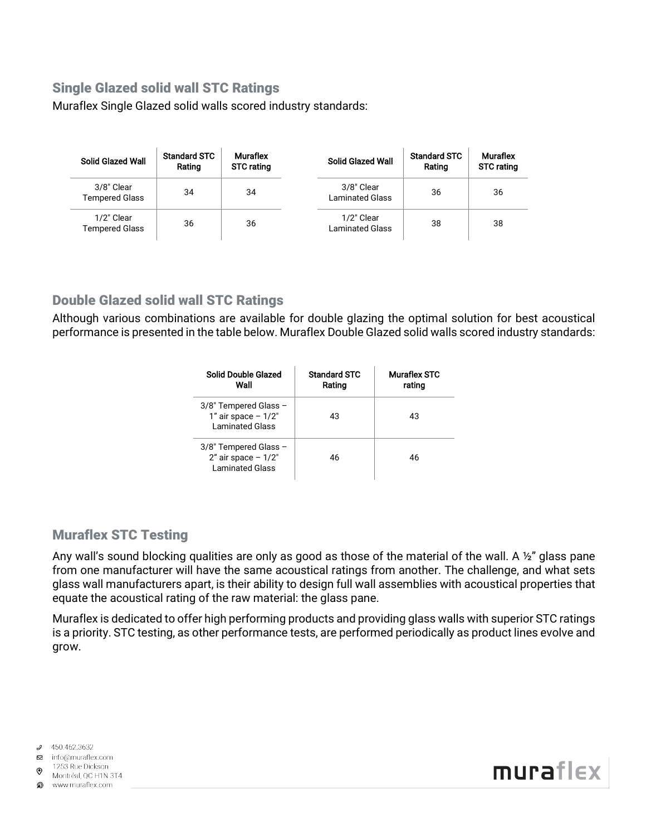## Single Glazed solid wall STC Ratings

Muraflex Single Glazed solid walls scored industry standards:

| <b>Solid Glazed Wall</b>            | <b>Standard STC</b><br>Rating | <b>Muraflex</b><br><b>STC rating</b> | <b>Solid Glazed Wall</b>             | <b>Standard STC</b><br>Rating | <b>Muraflex</b><br><b>STC rating</b> |
|-------------------------------------|-------------------------------|--------------------------------------|--------------------------------------|-------------------------------|--------------------------------------|
| 3/8" Clear<br><b>Tempered Glass</b> | 34                            | 34                                   | 3/8" Clear<br><b>Laminated Glass</b> | 36                            | 36                                   |
| 1/2" Clear<br><b>Tempered Glass</b> | 36                            | 36                                   | 1/2" Clear<br><b>Laminated Glass</b> | 38                            | 38                                   |

## Double Glazed solid wall STC Ratings

Although various combinations are available for double glazing the optimal solution for best acoustical performance is presented in the table below. Muraflex Double Glazed solid walls scored industry standards:

| Solid Double Glazed<br>Wall                                               | <b>Standard STC</b><br>Rating | Muraflex STC<br>rating |
|---------------------------------------------------------------------------|-------------------------------|------------------------|
| 3/8" Tempered Glass -<br>$1"$ air space - $1/2"$<br>Laminated Glass       | 43                            | 43                     |
| 3/8" Tempered Glass -<br>$2"$ air space $-1/2"$<br><b>Laminated Glass</b> | 46                            | 46                     |

## Muraflex STC Testing

Any wall's sound blocking qualities are only as good as those of the material of the wall. A 1/2" glass pane from one manufacturer will have the same acoustical ratings from another. The challenge, and what sets glass wall manufacturers apart, is their ability to design full wall assemblies with acoustical properties that equate the acoustical rating of the raw material: the glass pane.

Muraflex is dedicated to offer high performing products and providing glass walls with superior STC ratings is a priority. STC testing, as other performance tests, are performed periodically as product lines evolve and grow.

 $9450.462.3632$ 



1253 Rue Dickson  $\odot$ Montréal, QC H1N 3T4



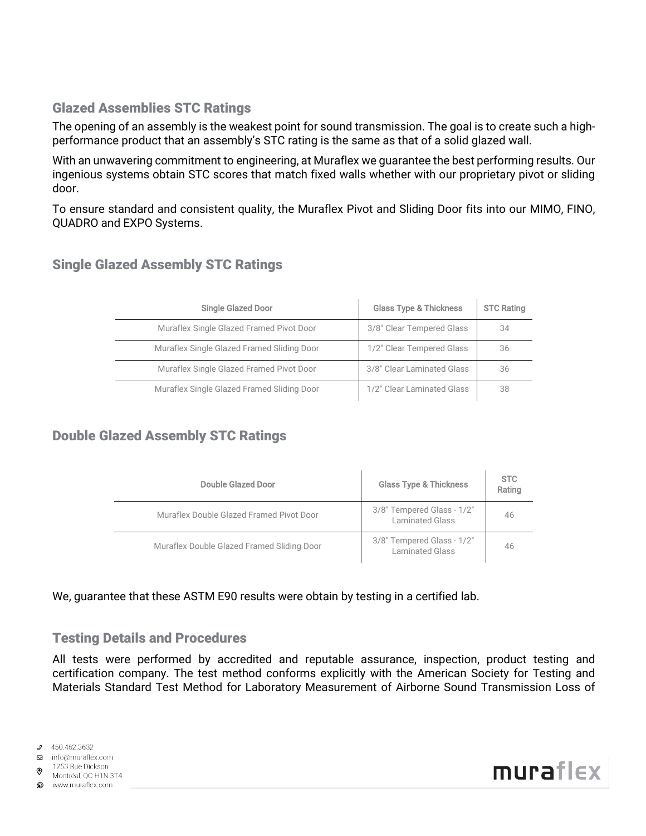## Glazed Assemblies STC Ratings

The opening of an assembly is the weakest point for sound transmission. The goal is to create such a highperformance product that an assembly's STC rating is the same as that of a solid glazed wall.

With an unwavering commitment to engineering, at Muraflex we guarantee the best performing results. Our ingenious systems obtain STC scores that match fixed walls whether with our proprietary pivot or sliding door.

To ensure standard and consistent quality, the Muraflex Pivot and Sliding Door fits into our MIMO, FINO, QUADRO and EXPO Systems.

| <b>Single Glazed Door</b>                  | <b>Glass Type &amp; Thickness</b> | <b>STC Rating</b> |
|--------------------------------------------|-----------------------------------|-------------------|
| Muraflex Single Glazed Framed Pivot Door   | 3/8" Clear Tempered Glass         | 34                |
| Muraflex Single Glazed Framed Sliding Door | 1/2" Clear Tempered Glass         | 36                |
| Muraflex Single Glazed Framed Pivot Door   | 3/8" Clear Laminated Glass        | 36                |
| Muraflex Single Glazed Framed Sliding Door | 1/2" Clear Laminated Glass        | 38                |

## Single Glazed Assembly STC Ratings

## Double Glazed Assembly STC Ratings

| Double Glazed Door                         | <b>Glass Type &amp; Thickness</b>                    | <b>STC</b><br>Rating |
|--------------------------------------------|------------------------------------------------------|----------------------|
| Muraflex Double Glazed Framed Pivot Door   | 3/8" Tempered Glass - 1/2"<br><b>Laminated Glass</b> | 46                   |
| Muraflex Double Glazed Framed Sliding Door | 3/8" Tempered Glass - 1/2"<br><b>Laminated Glass</b> | 46                   |

We, guarantee that these ASTM E90 results were obtain by testing in a certified lab.

## Testing Details and Procedures

All tests were performed by accredited and reputable assurance, inspection, product testing and certification company. The test method conforms explicitly with the American Society for Testing and Materials Standard Test Method for Laboratory Measurement of Airborne Sound Transmission Loss of

1253 Rue Dickson  $\odot$ 

Montréal, QC H1N 3T4 ை www.muraflex.com

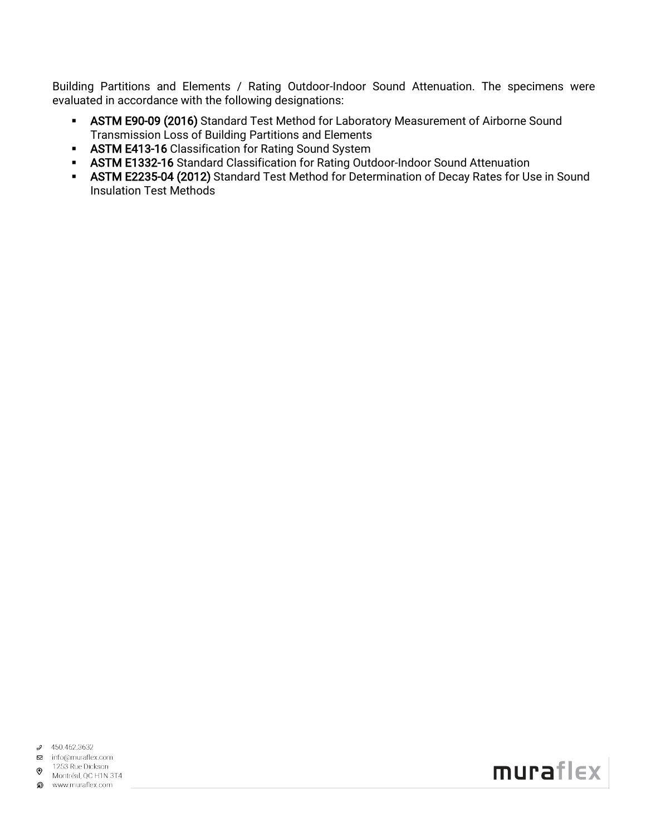Building Partitions and Elements / Rating Outdoor-Indoor Sound Attenuation. The specimens were evaluated in accordance with the following designations:

- ASTM E90-09 (2016) Standard Test Method for Laboratory Measurement of Airborne Sound Transmission Loss of Building Partitions and Elements
- **ASTM E413-16** Classification for Rating Sound System
- **ASTM E1332-16** Standard Classification for Rating Outdoor-Indoor Sound Attenuation
- **ASTM E2235-04 (2012)** Standard Test Method for Determination of Decay Rates for Use in Sound Insulation Test Methods

 $9450.462.3632$ 

**⊠** info@muraflex.com

1253 Rue Dickson  $\odot$ 

Montréal, QC H1N 3T4 www.muraflex.com

muraflex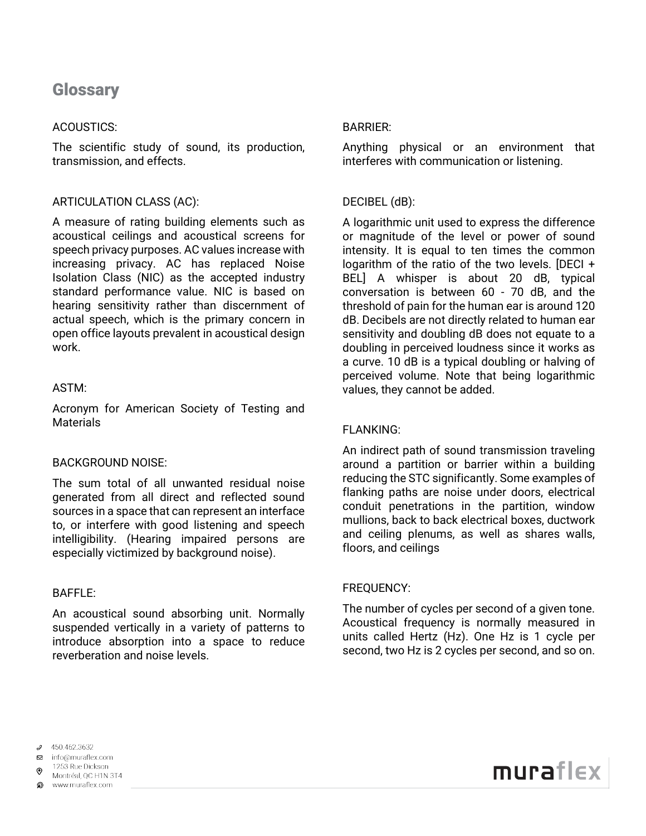## **Glossary**

#### ACOUSTICS:

The scientific study of sound, its production, transmission, and effects.

#### ARTICULATION CLASS (AC):

A measure of rating building elements such as acoustical ceilings and acoustical screens for speech privacy purposes. AC values increase with increasing privacy. AC has replaced Noise Isolation Class (NIC) as the accepted industry standard performance value. NIC is based on hearing sensitivity rather than discernment of actual speech, which is the primary concern in open office layouts prevalent in acoustical design work.

#### ASTM:

Acronym for American Society of Testing and **Materials** 

#### BACKGROUND NOISE:

The sum total of all unwanted residual noise generated from all direct and reflected sound sources in a space that can represent an interface to, or interfere with good listening and speech intelligibility. (Hearing impaired persons are especially victimized by background noise).

#### BAFFLE:

An acoustical sound absorbing unit. Normally suspended vertically in a variety of patterns to introduce absorption into a space to reduce reverberation and noise levels.

#### BARRIER:

Anything physical or an environment that interferes with communication or listening.

#### DECIBEL (dB):

A logarithmic unit used to express the difference or magnitude of the level or power of sound intensity. It is equal to ten times the common logarithm of the ratio of the two levels. [DECI + BEL] A whisper is about 20 dB, typical conversation is between 60 - 70 dB, and the threshold of pain for the human ear is around 120 dB. Decibels are not directly related to human ear sensitivity and doubling dB does not equate to a doubling in perceived loudness since it works as a curve. 10 dB is a typical doubling or halving of perceived volume. Note that being logarithmic values, they cannot be added.

#### FLANKING:

An indirect path of sound transmission traveling around a partition or barrier within a building reducing the STC significantly. Some examples of flanking paths are noise under doors, electrical conduit penetrations in the partition, window mullions, back to back electrical boxes, ductwork and ceiling plenums, as well as shares walls, floors, and ceilings

#### FREQUENCY:

The number of cycles per second of a given tone. Acoustical frequency is normally measured in units called Hertz (Hz). One Hz is 1 cycle per second, two Hz is 2 cycles per second, and so on.

 $9450.462.3632$ 

#### **⊠** info@muraflex.com

1253 Rue Dickson Montréal, QC H1N 3T4

www.muraflex.com

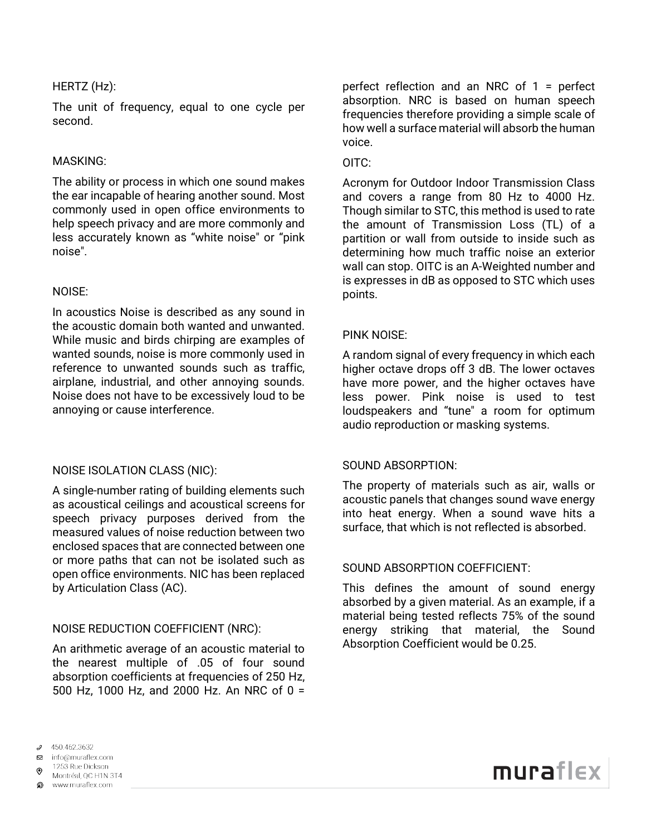#### HERTZ (Hz):

The unit of frequency, equal to one cycle per second.

#### MASKING:

The ability or process in which one sound makes the ear incapable of hearing another sound. Most commonly used in open office environments to help speech privacy and are more commonly and less accurately known as "white noise" or "pink noise".

#### NOISE:

In acoustics Noise is described as any sound in the acoustic domain both wanted and unwanted. While music and birds chirping are examples of wanted sounds, noise is more commonly used in reference to unwanted sounds such as traffic, airplane, industrial, and other annoying sounds. Noise does not have to be excessively loud to be annoying or cause interference.

#### NOISE ISOLATION CLASS (NIC):

A single-number rating of building elements such as acoustical ceilings and acoustical screens for speech privacy purposes derived from the measured values of noise reduction between two enclosed spaces that are connected between one or more paths that can not be isolated such as open office environments. NIC has been replaced by Articulation Class (AC).

#### NOISE REDUCTION COEFFICIENT (NRC):

An arithmetic average of an acoustic material to the nearest multiple of .05 of four sound absorption coefficients at frequencies of 250 Hz, 500 Hz, 1000 Hz, and 2000 Hz. An NRC of 0 =

perfect reflection and an NRC of 1 = perfect absorption. NRC is based on human speech frequencies therefore providing a simple scale of how well a surface material will absorb the human voice.

#### OITC:

Acronym for Outdoor Indoor Transmission Class and covers a range from 80 Hz to 4000 Hz. Though similar to STC, this method is used to rate the amount of Transmission Loss (TL) of a partition or wall from outside to inside such as determining how much traffic noise an exterior wall can stop. OITC is an A-Weighted number and is expresses in dB as opposed to STC which uses points.

#### PINK NOISE:

A random signal of every frequency in which each higher octave drops off 3 dB. The lower octaves have more power, and the higher octaves have less power. Pink noise is used to test loudspeakers and "tune" a room for optimum audio reproduction or masking systems.

#### SOUND ABSORPTION:

The property of materials such as air, walls or acoustic panels that changes sound wave energy into heat energy. When a sound wave hits a surface, that which is not reflected is absorbed.

#### SOUND ABSORPTION COEFFICIENT:

This defines the amount of sound energy absorbed by a given material. As an example, if a material being tested reflects 75% of the sound energy striking that material, the Sound Absorption Coefficient would be 0.25.

 $9450.462.3632$ 

1253 Rue Dickson

Montréal, QC H1N 3T4 www.muraflex.com

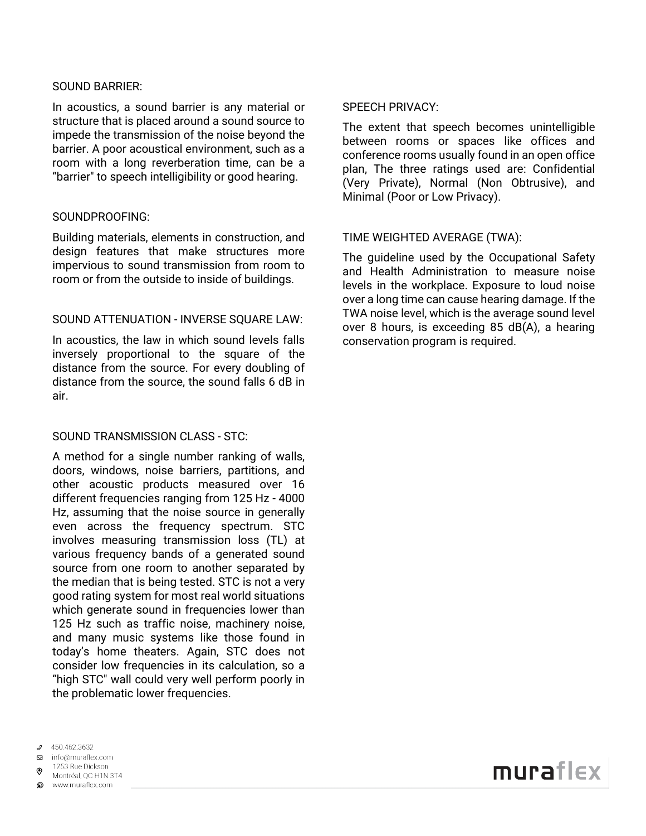#### SOUND BARRIER:

In acoustics, a sound barrier is any material or structure that is placed around a sound source to impede the transmission of the noise beyond the barrier. A poor acoustical environment, such as a room with a long reverberation time, can be a "barrier" to speech intelligibility or good hearing.

#### SOUNDPROOFING:

Building materials, elements in construction, and design features that make structures more impervious to sound transmission from room to room or from the outside to inside of buildings.

#### SOUND ATTENUATION - INVERSE SQUARE LAW:

In acoustics, the law in which sound levels falls inversely proportional to the square of the distance from the source. For every doubling of distance from the source, the sound falls 6 dB in air.

#### SOUND TRANSMISSION CLASS - STC:

A method for a single number ranking of walls, doors, windows, noise barriers, partitions, and other acoustic products measured over 16 different frequencies ranging from 125 Hz - 4000 Hz, assuming that the noise source in generally even across the frequency spectrum. STC involves measuring transmission loss (TL) at various frequency bands of a generated sound source from one room to another separated by the median that is being tested. STC is not a very good rating system for most real world situations which generate sound in frequencies lower than 125 Hz such as traffic noise, machinery noise, and many music systems like those found in today's home theaters. Again, STC does not consider low frequencies in its calculation, so a "high STC" wall could very well perform poorly in the problematic lower frequencies.

- 450.462.3632
- □ info@muraflex.com
- 1253 Rue Dickson
- Montréal, QC H1N 3T4 www.muraflex.com

SPEECH PRIVACY:

The extent that speech becomes unintelligible between rooms or spaces like offices and conference rooms usually found in an open office plan, The three ratings used are: Confidential (Very Private), Normal (Non Obtrusive), and Minimal (Poor or Low Privacy).

#### TIME WEIGHTED AVERAGE (TWA):

The guideline used by the Occupational Safety and Health Administration to measure noise levels in the workplace. Exposure to loud noise over a long time can cause hearing damage. If the TWA noise level, which is the average sound level over 8 hours, is exceeding 85 dB(A), a hearing conservation program is required.